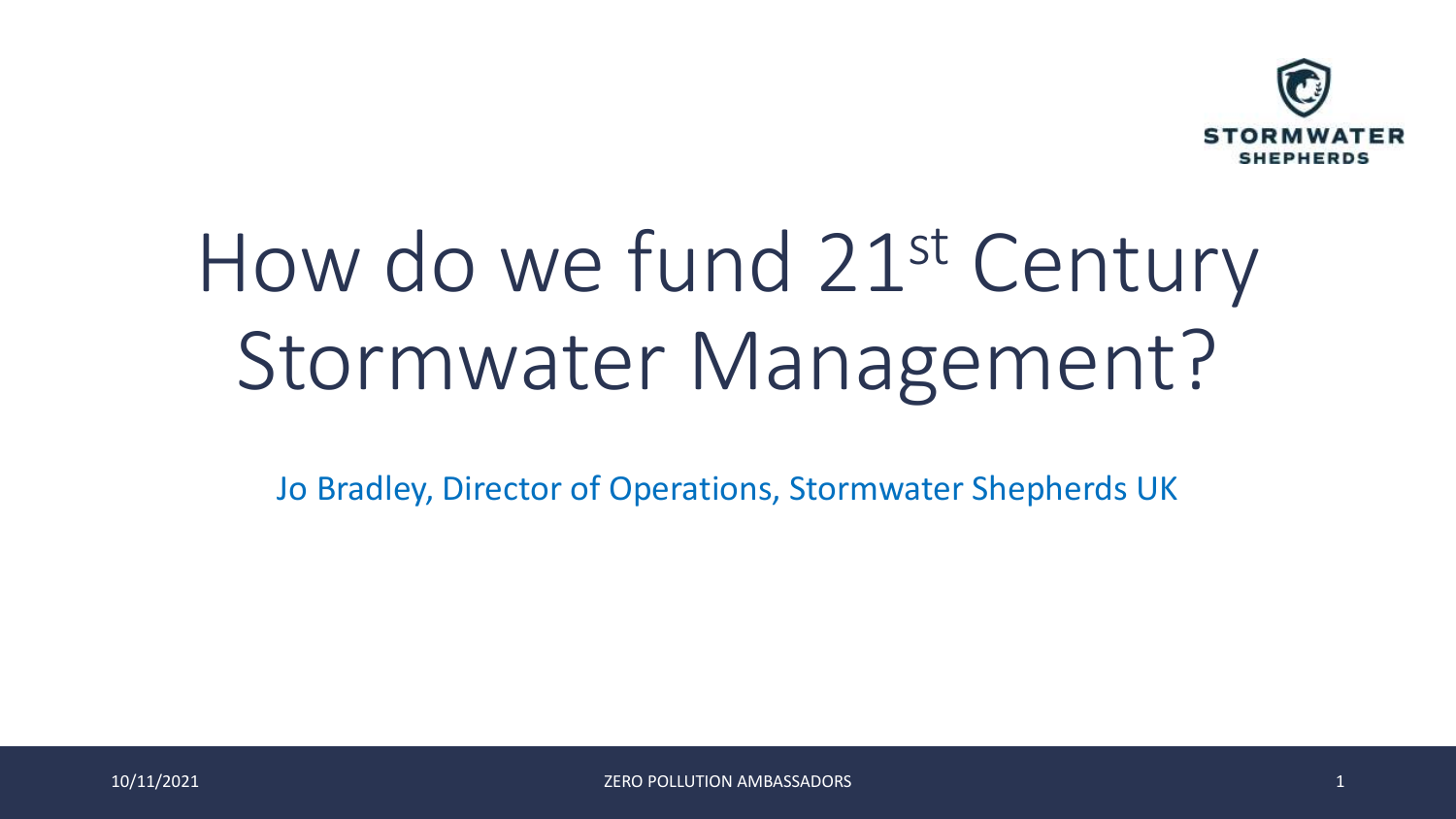

# How do we fund 21st Century Stormwater Management?

Jo Bradley, Director of Operations, Stormwater Shepherds UK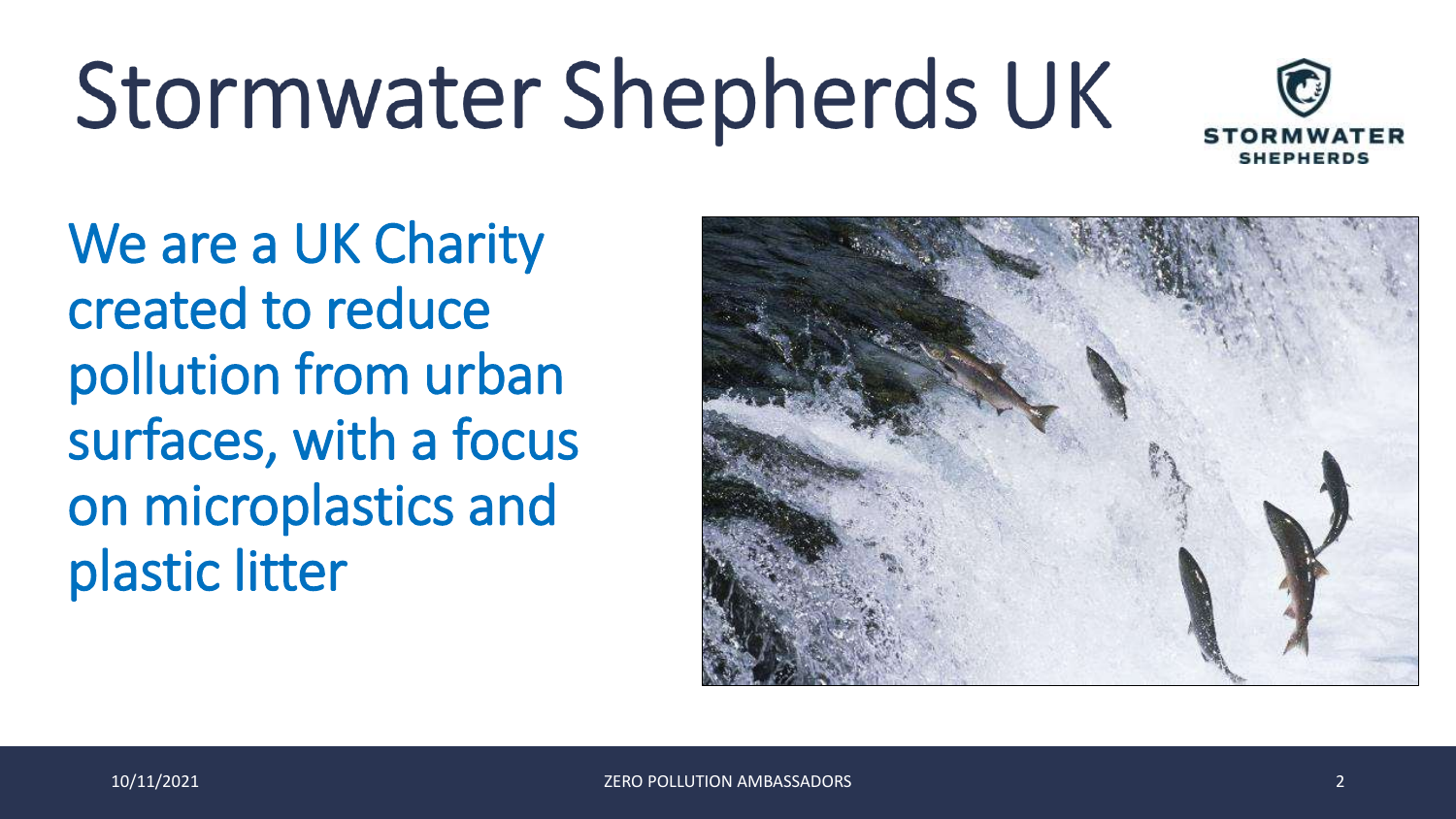# Stormwater Shepherds UK



We are a UK Charity created to reduce pollution from urban surfaces, with a focus on microplastics and plastic litter

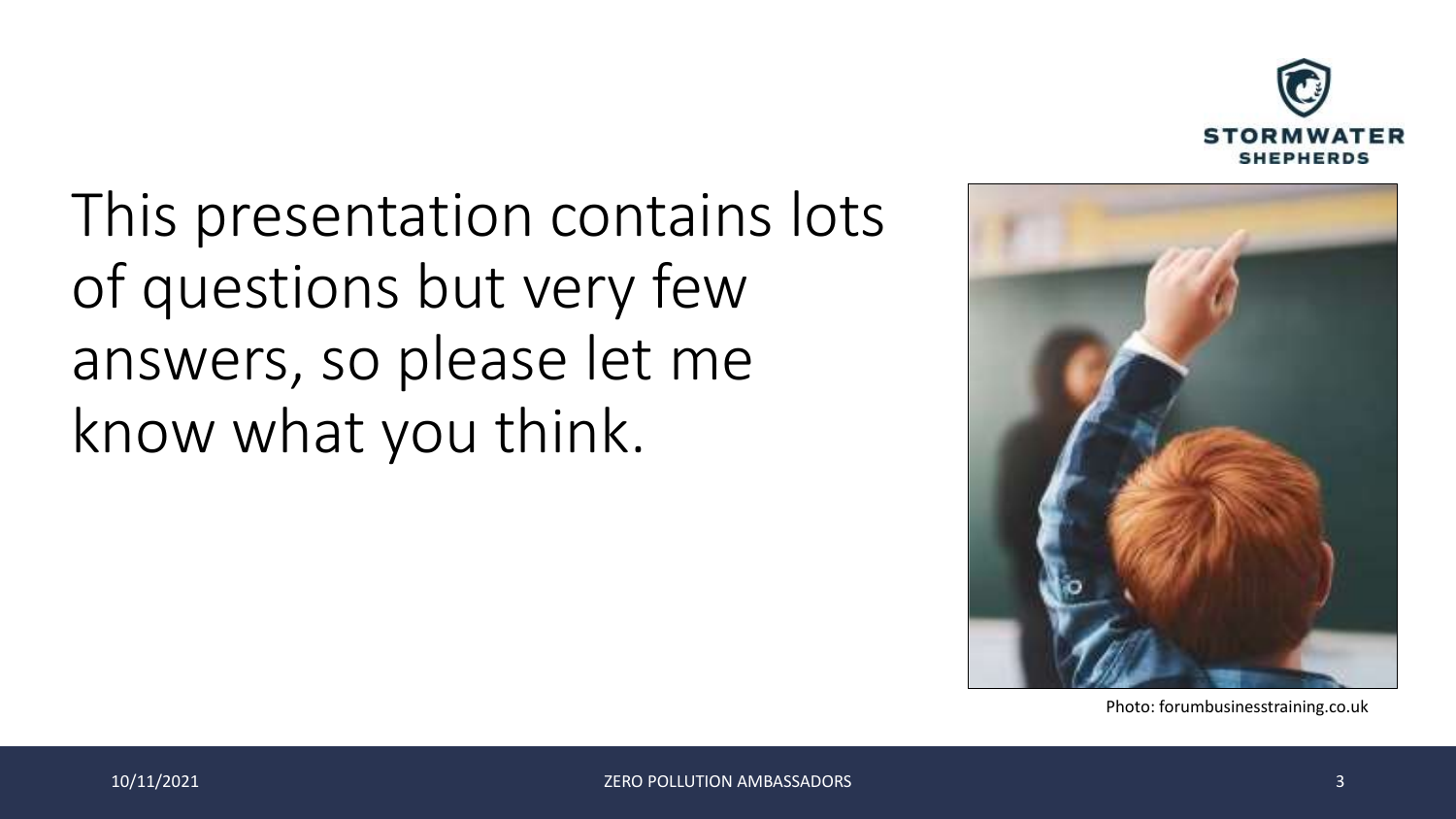

This presentation contains lots of questions but very few answers, so please let me know what you think.



Photo: forumbusinesstraining.co.uk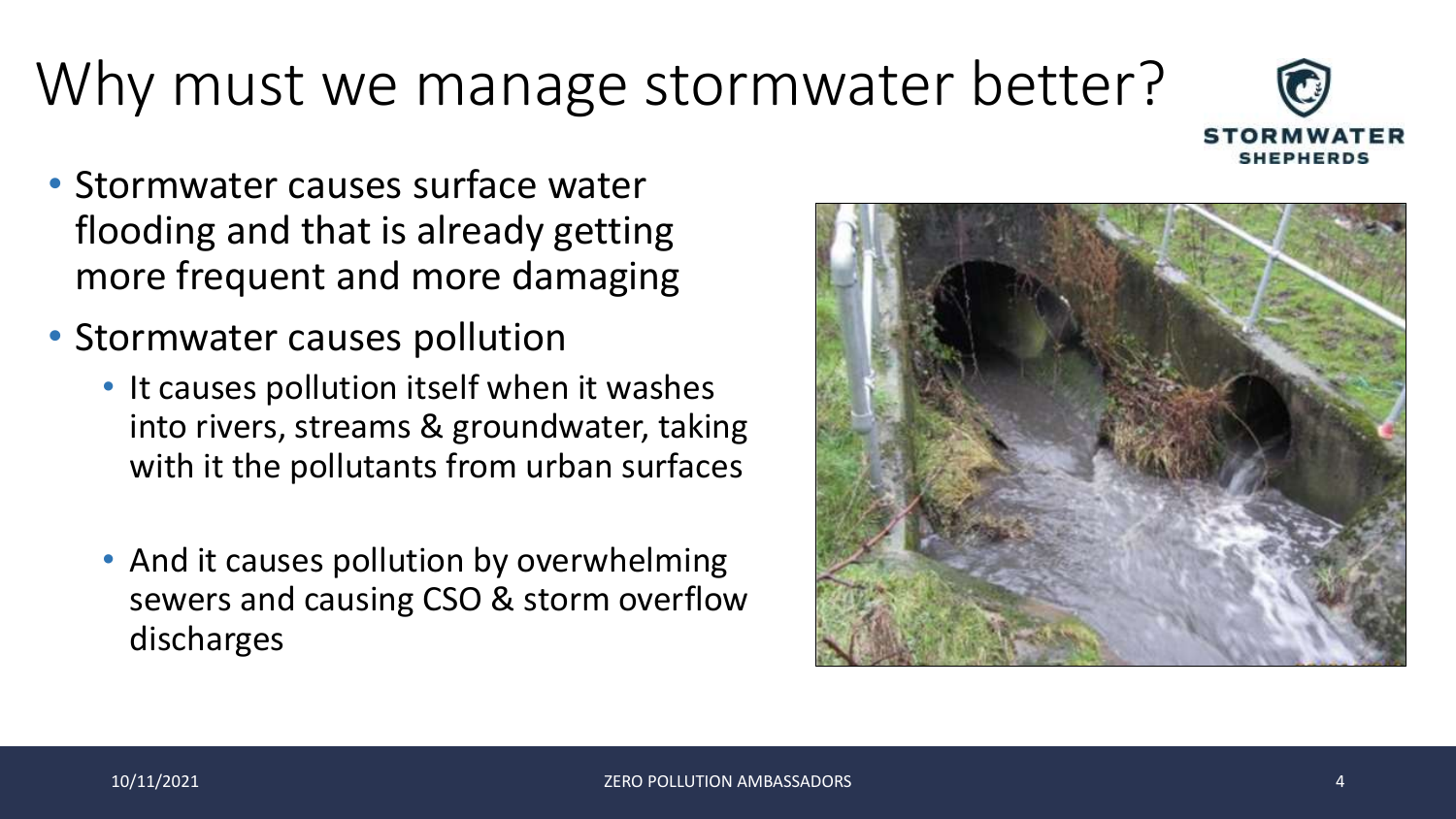# Why must we manage stormwater better?

- Stormwater causes surface water flooding and that is already getting more frequent and more damaging
- Stormwater causes pollution
	- It causes pollution itself when it washes into rivers, streams & groundwater, taking with it the pollutants from urban surfaces
	- And it causes pollution by overwhelming sewers and causing CSO & storm overflow discharges

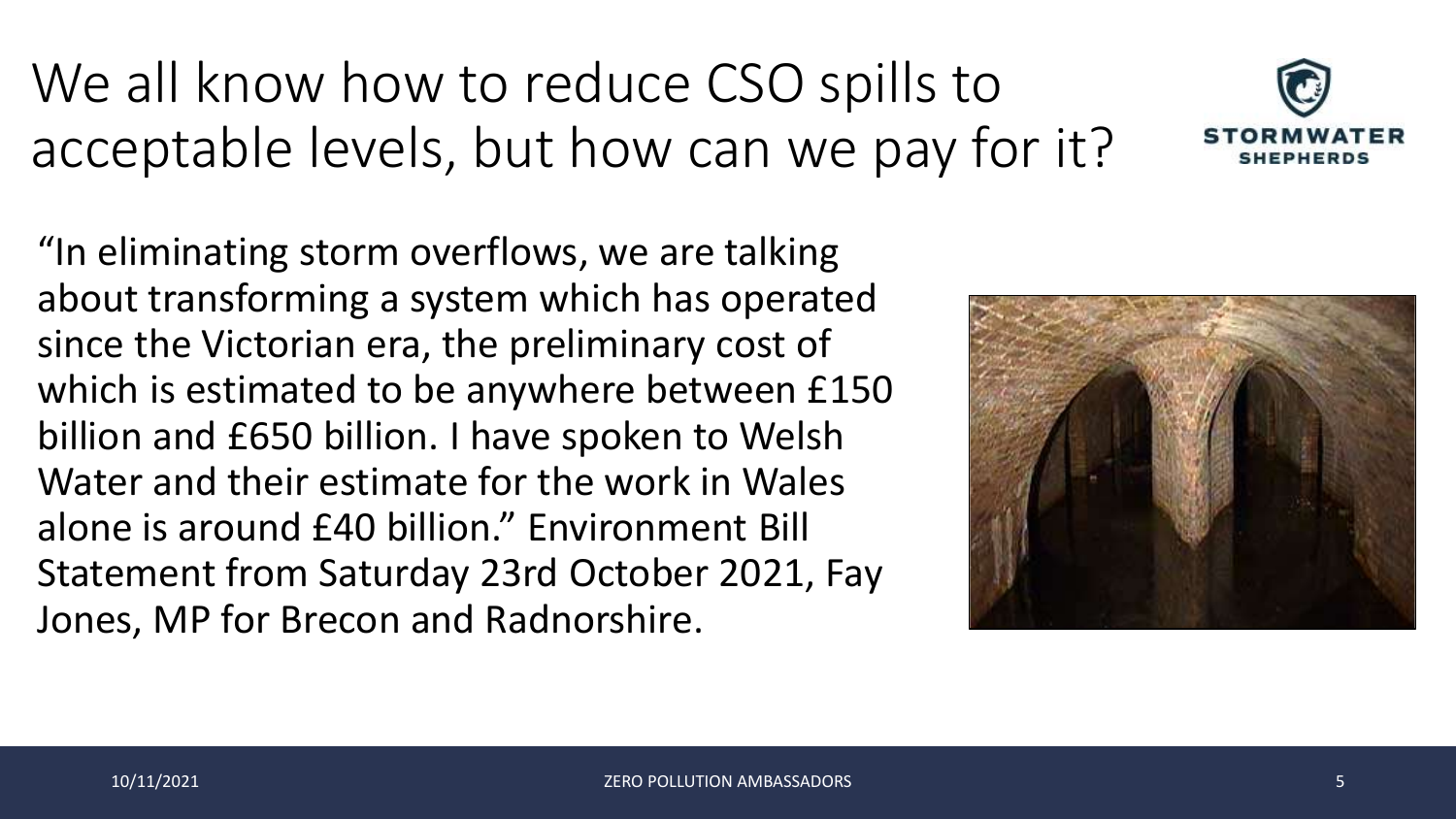"In eliminating storm overflows, we are talking about transforming a system which has operated since the Victorian era, the preliminary cost of which is estimated to be anywhere between £150 billion and £650 billion. I have spoken to Welsh Water and their estimate for the work in Wales alone is around £40 billion." Environment Bill Statement from Saturday 23rd October 2021, Fay Jones, MP for Brecon and Radnorshire.





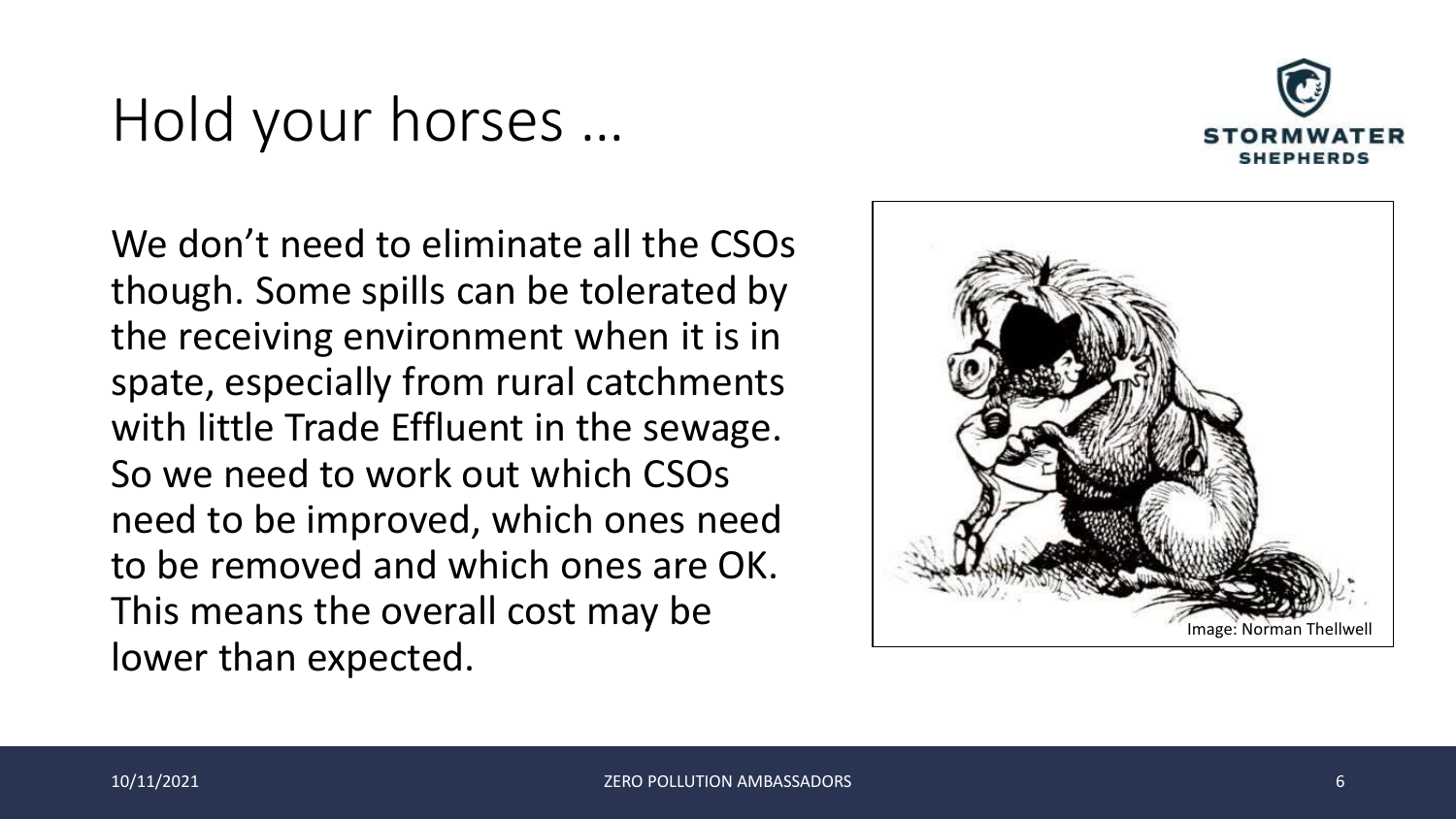#### Hold your horses …



We don't need to eliminate all the CSOs though. Some spills can be tolerated by the receiving environment when it is in spate, especially from rural catchments with little Trade Effluent in the sewage. So we need to work out which CSOs need to be improved, which ones need to be removed and which ones are OK. This means the overall cost may be lower than expected.

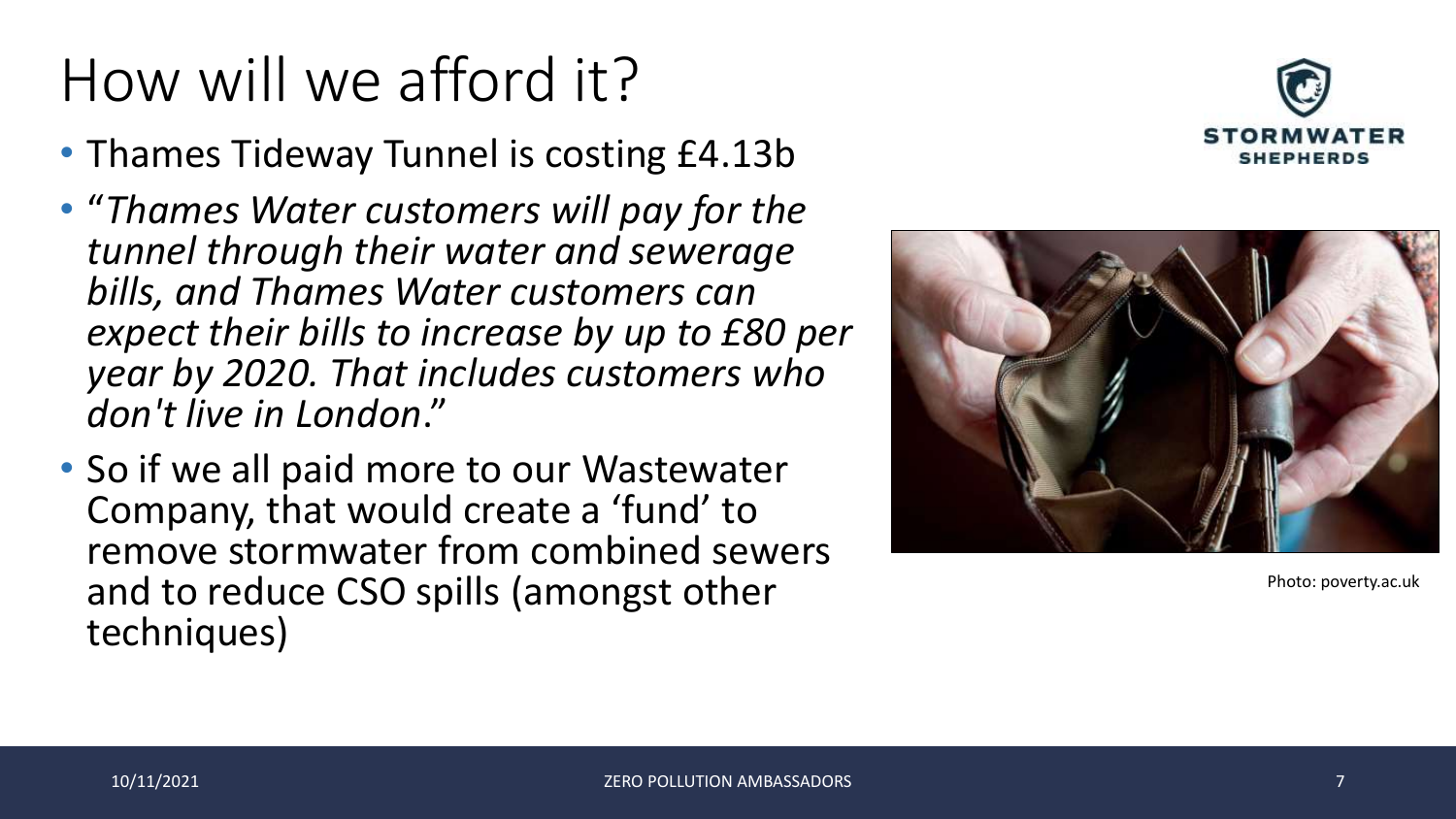# How will we afford it?

- Thames Tideway Tunnel is costing £4.13b
- "*Thames Water customers will pay for the tunnel through their water and sewerage bills, and Thames Water customers can expect their bills to increase by up to £80 per year by 2020. That includes customers who don't live in London*."
- So if we all paid more to our Wastewater Company, that would create a 'fund' to remove stormwater from combined sewers and to reduce CSO spills (amongst other techniques)





Photo: poverty.ac.uk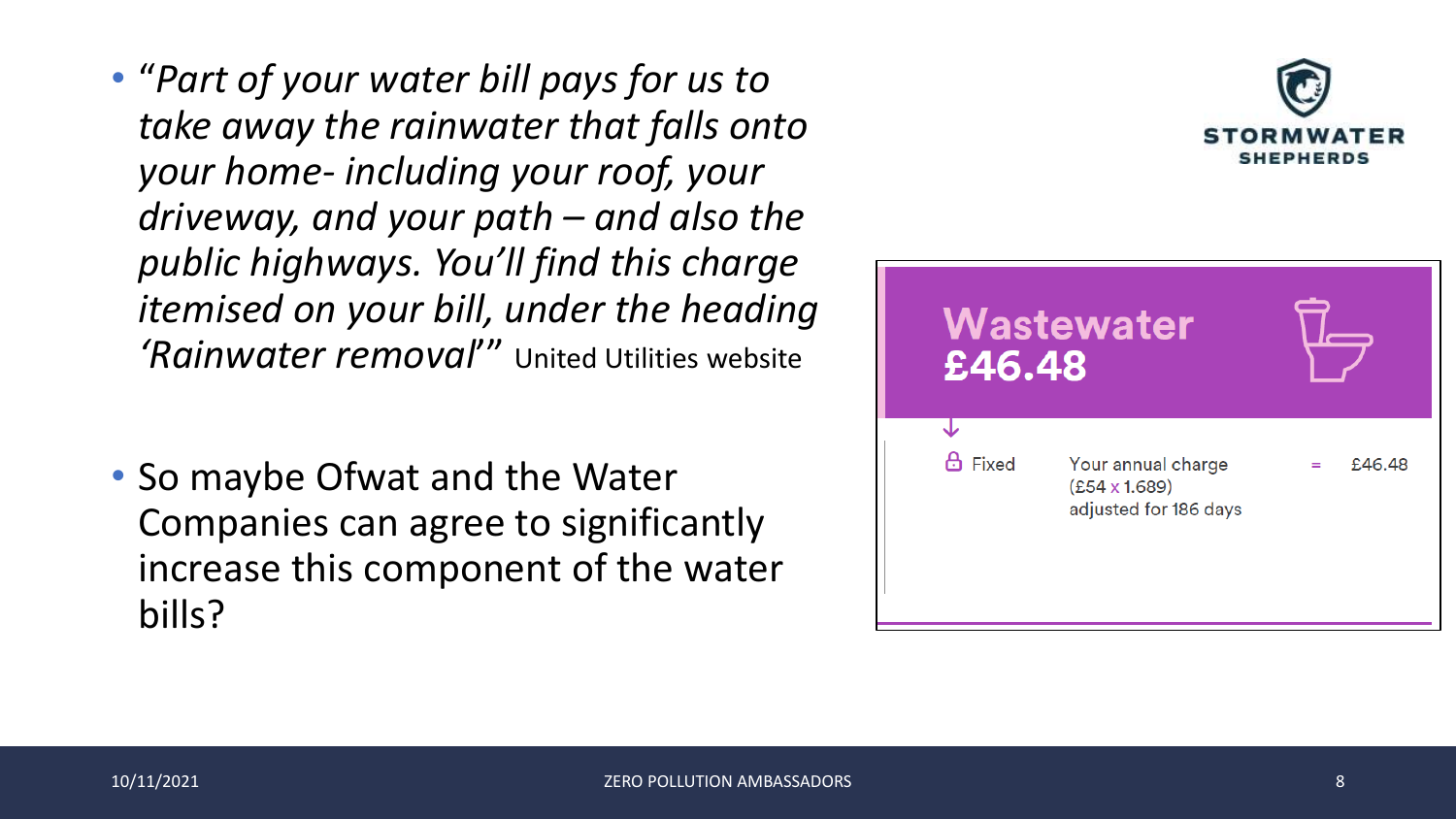- "*Part of your water bill pays for us to take away the rainwater that falls onto your home- including your roof, your driveway, and your path – and also the public highways. You'll find this charge itemised on your bill, under the heading 'Rainwater removal*'" United Utilities website
- So maybe Ofwat and the Water Companies can agree to significantly increase this component of the water bills?

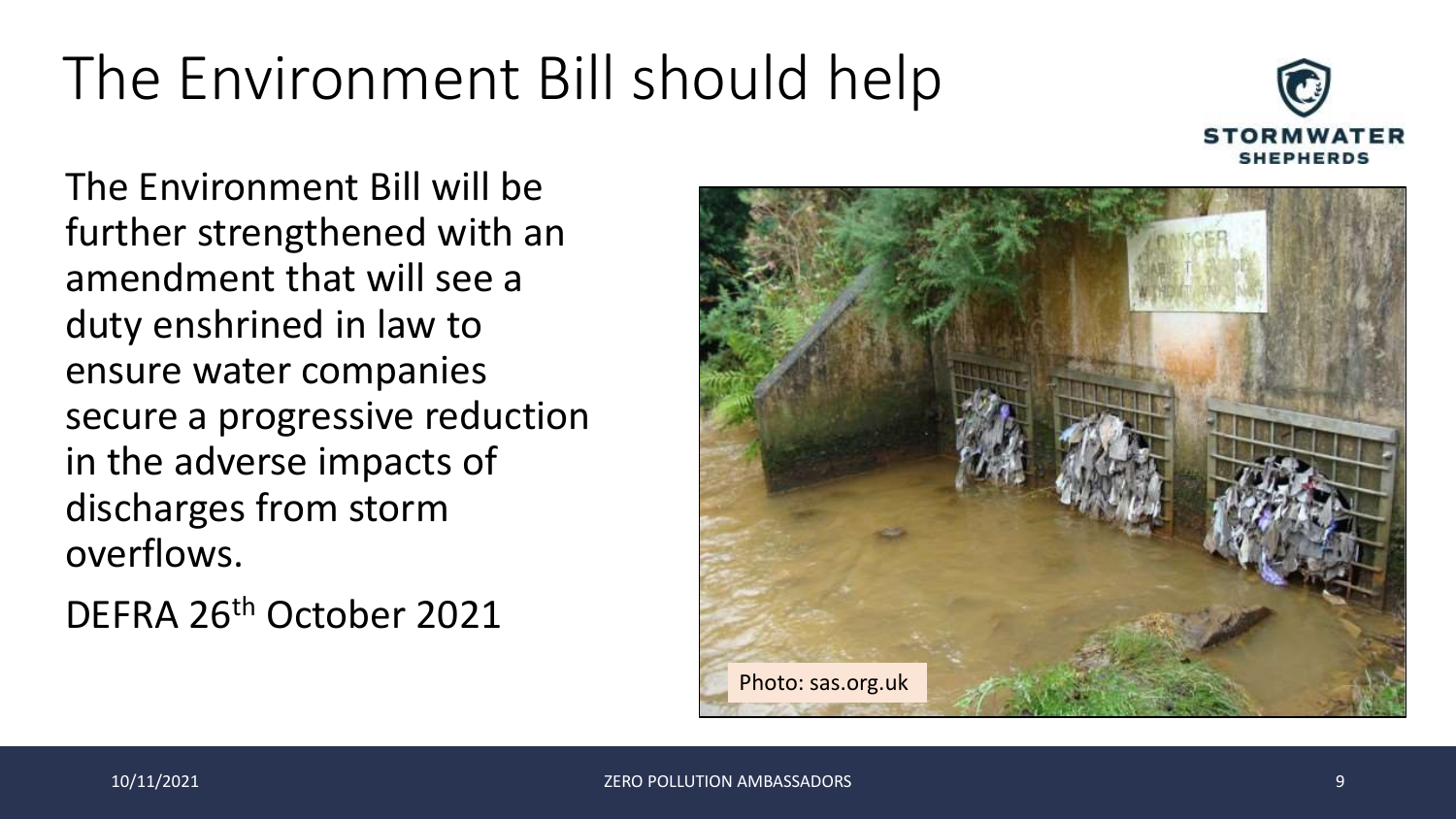# The Environment Bill should help



The Environment Bill will be further strengthened with an amendment that will see a duty enshrined in law to ensure water companies secure a progressive reduction in the adverse impacts of discharges from storm overflows.

DEFRA 26th October 2021

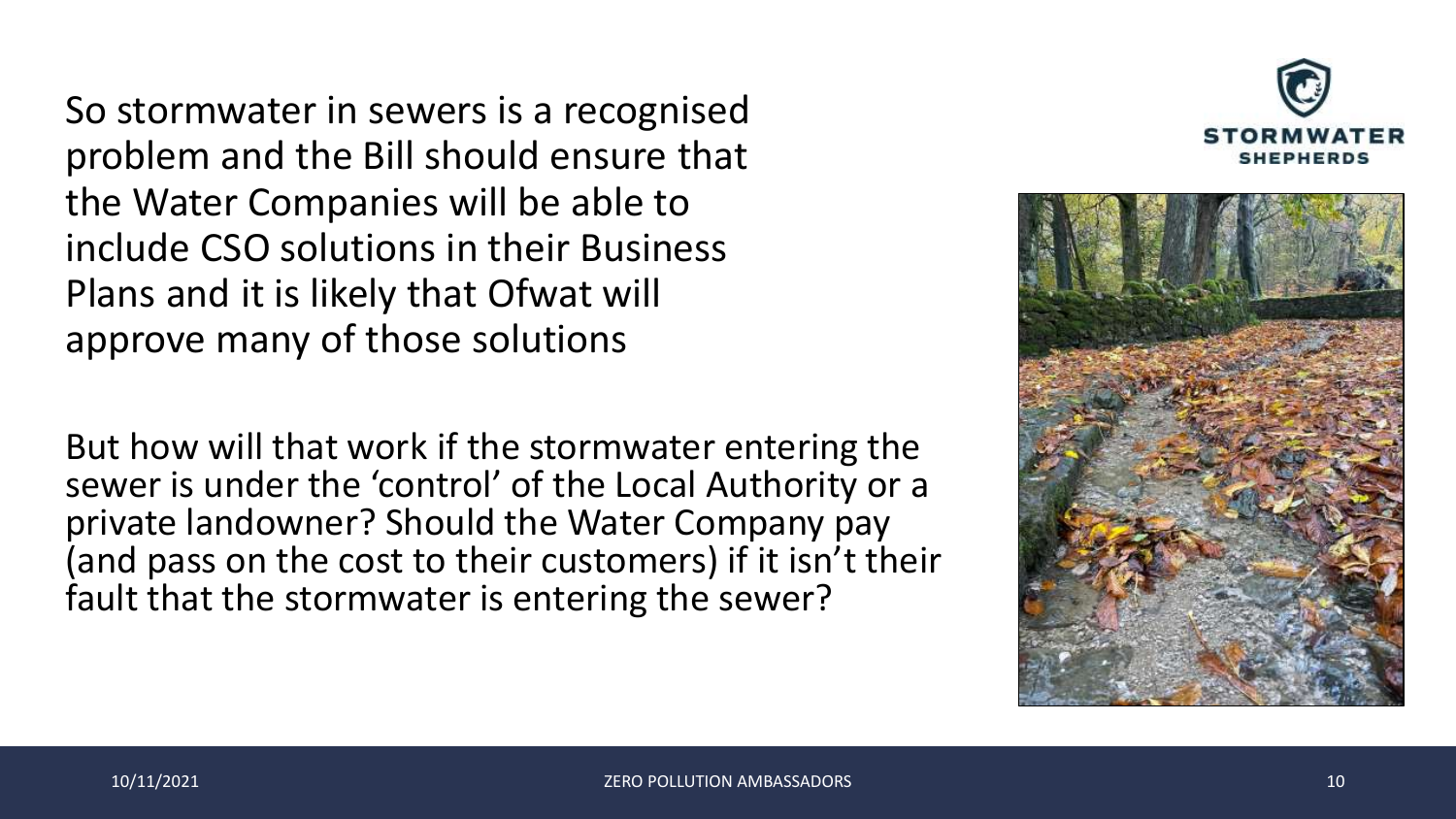So stormwater in sewers is a recognised problem and the Bill should ensure that the Water Companies will be able to include CSO solutions in their Business Plans and it is likely that Ofwat will approve many of those solutions

But how will that work if the stormwater entering the sewer is under the 'control' of the Local Authority or a private landowner? Should the Water Company pay (and pass on the cost to their customers) if it isn't their fault that the stormwater is entering the sewer?

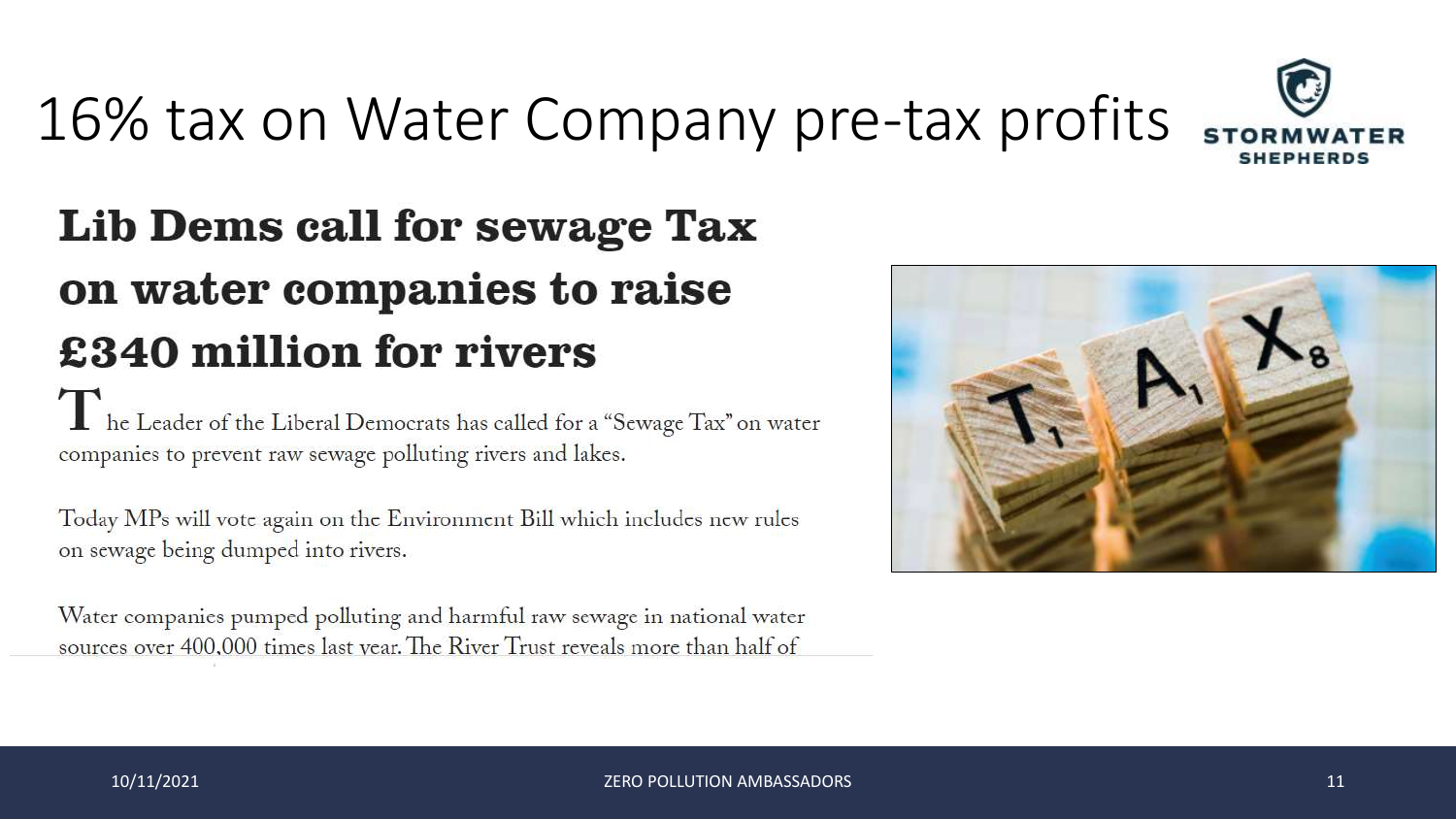

# 16% tax on Water Company pre-tax profits s

#### Lib Dems call for sewage Tax on water companies to raise £340 million for rivers

The Leader of the Liberal Democrats has called for a "Sewage Tax" on water<br>companies to prevent raw sewage polluting rivers and lakes companies to prevent raw sewage polluting rivers and lakes.

Today MPs will vote again on the Environment Bill which includes new rules on sewage being dumped into rivers.

Water companies pumped polluting and harmful raw sewage in national water sources over 400,000 times last year. The River Trust reveals more than half of

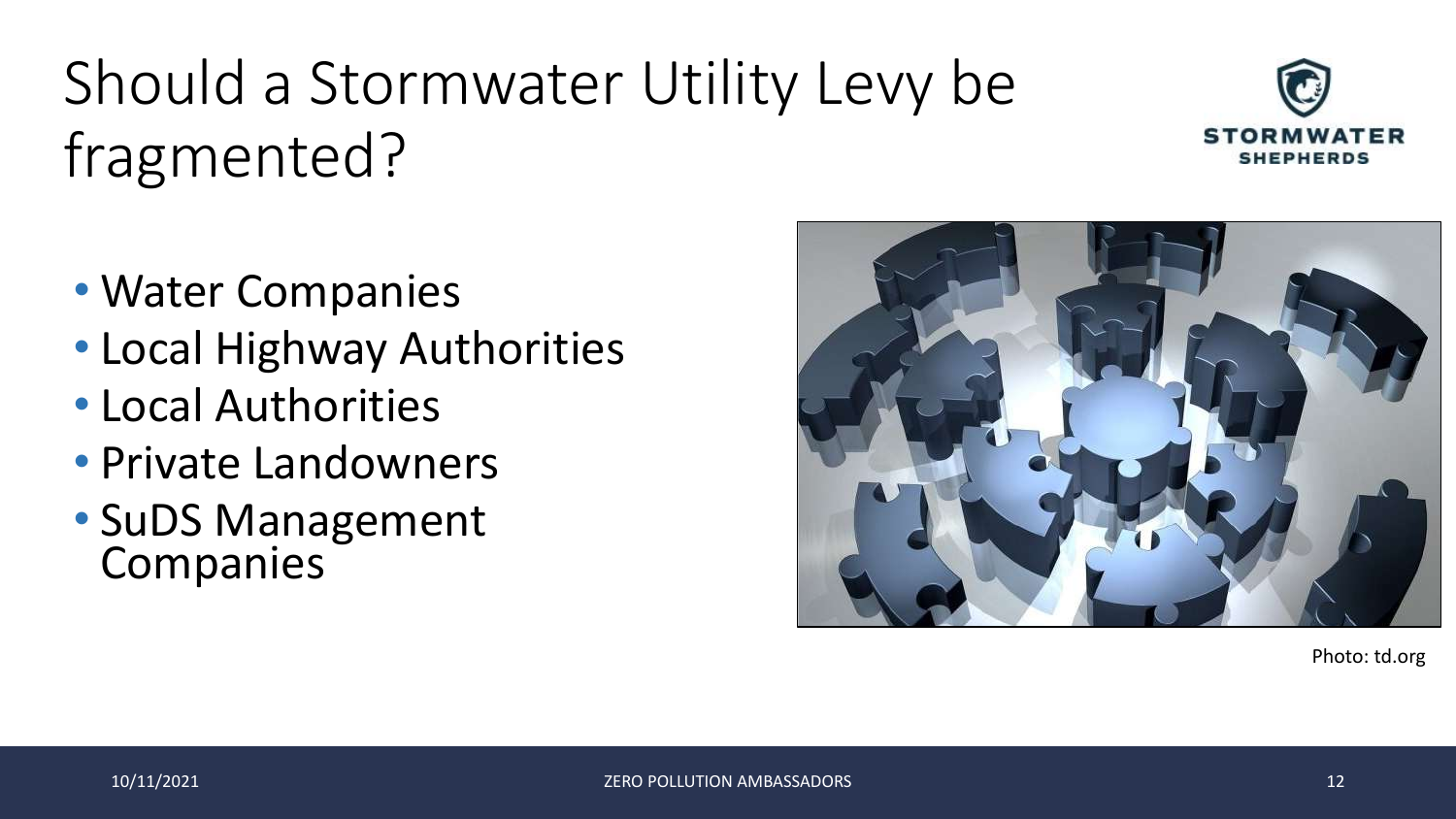# Should a Stormwater Utility Levy be fragmented?



- Water Companies
- Local Highway Authorities
- Local Authorities
- Private Landowners
- SuDS Management Companies

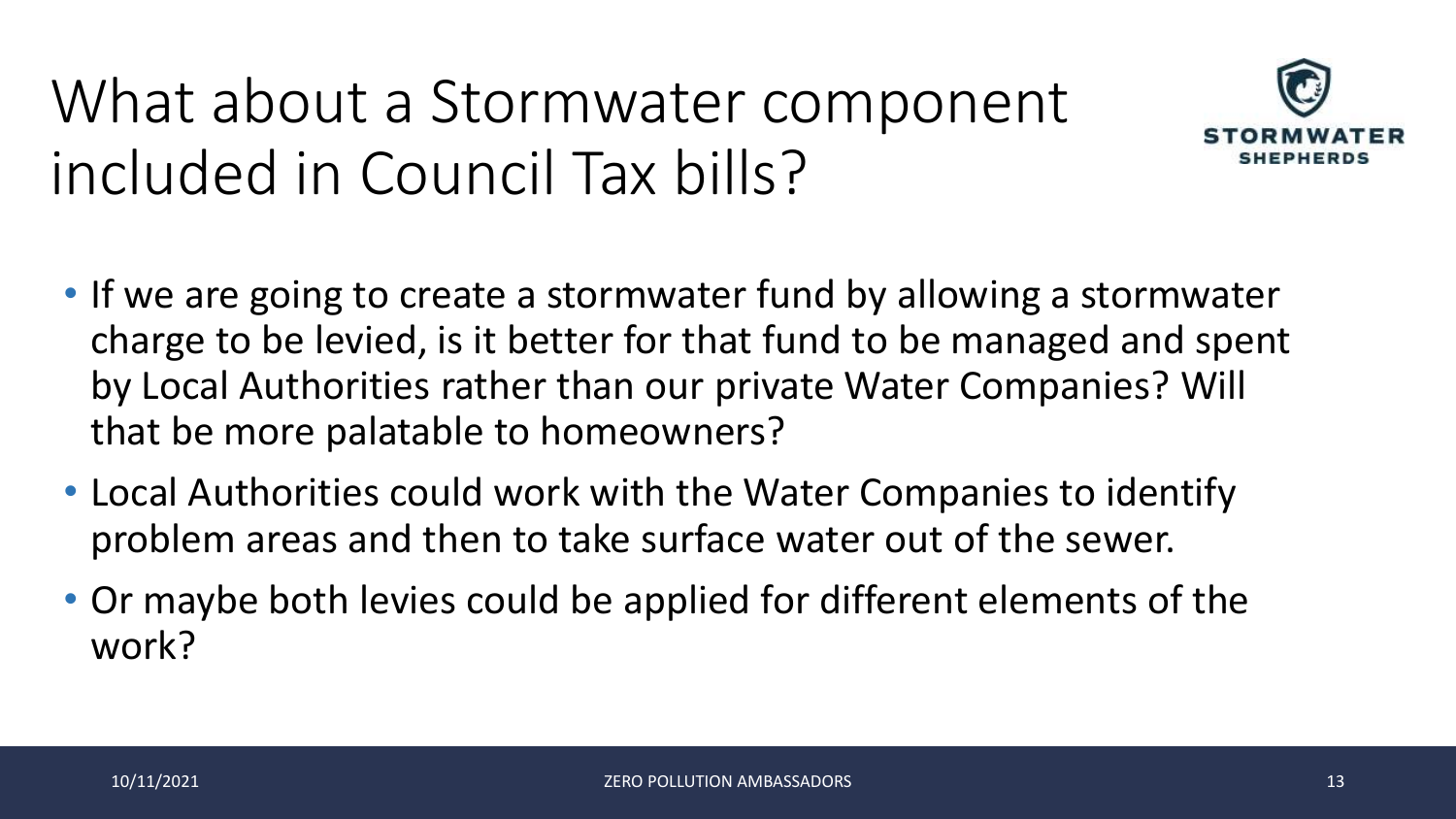# What about a Stormwater component included in Council Tax bills?



- If we are going to create a stormwater fund by allowing a stormwater charge to be levied, is it better for that fund to be managed and spent by Local Authorities rather than our private Water Companies? Will that be more palatable to homeowners?
- Local Authorities could work with the Water Companies to identify problem areas and then to take surface water out of the sewer.
- Or maybe both levies could be applied for different elements of the work?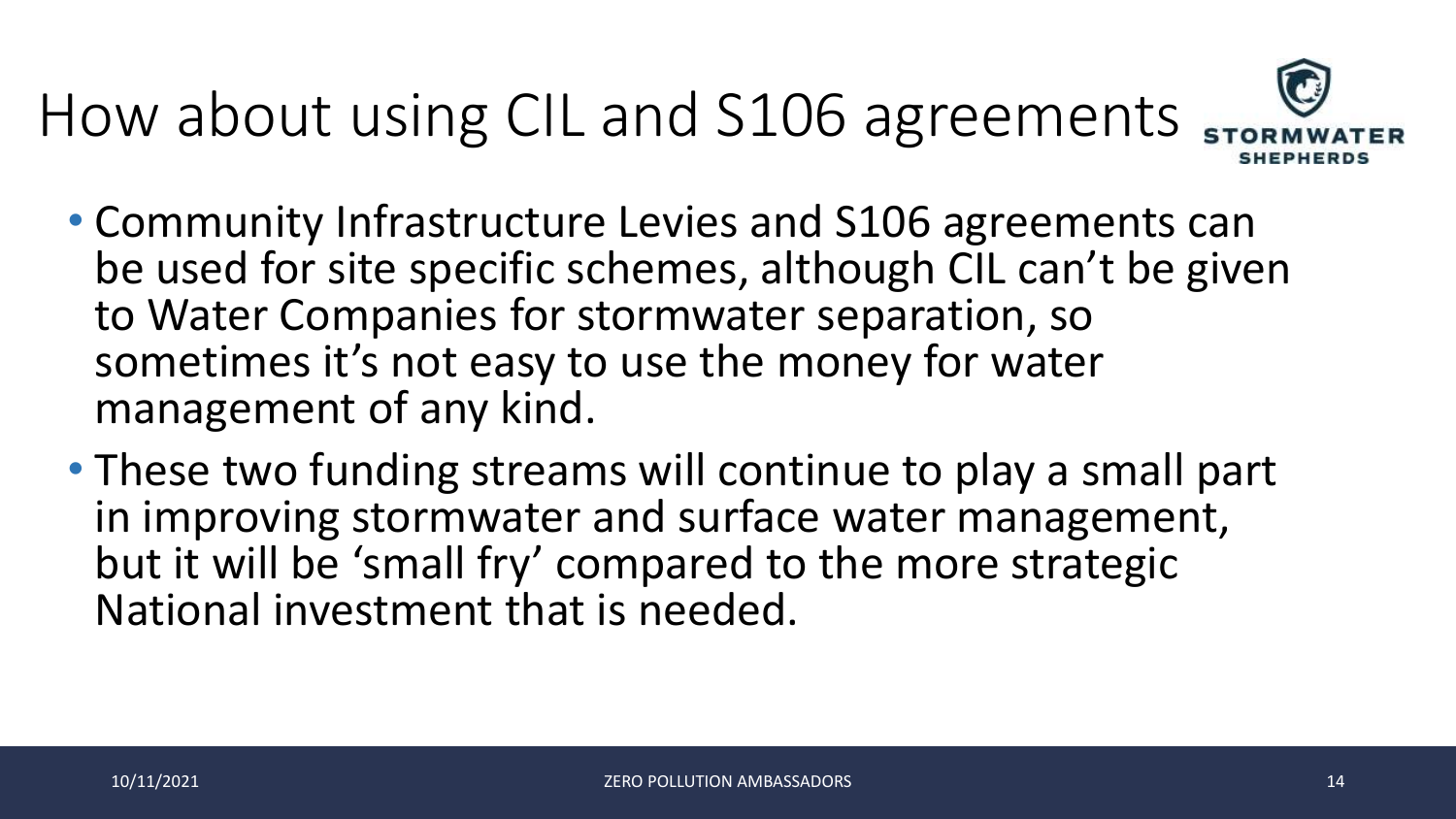# How about using CIL and S106 agreements



- Community Infrastructure Levies and S106 agreements can be used for site specific schemes, although CIL can't be given to Water Companies for stormwater separation, so sometimes it's not easy to use the money for water management of any kind.
- These two funding streams will continue to play a small part in improving stormwater and surface water management, but it will be 'small fry' compared to the more strategic National investment that is needed.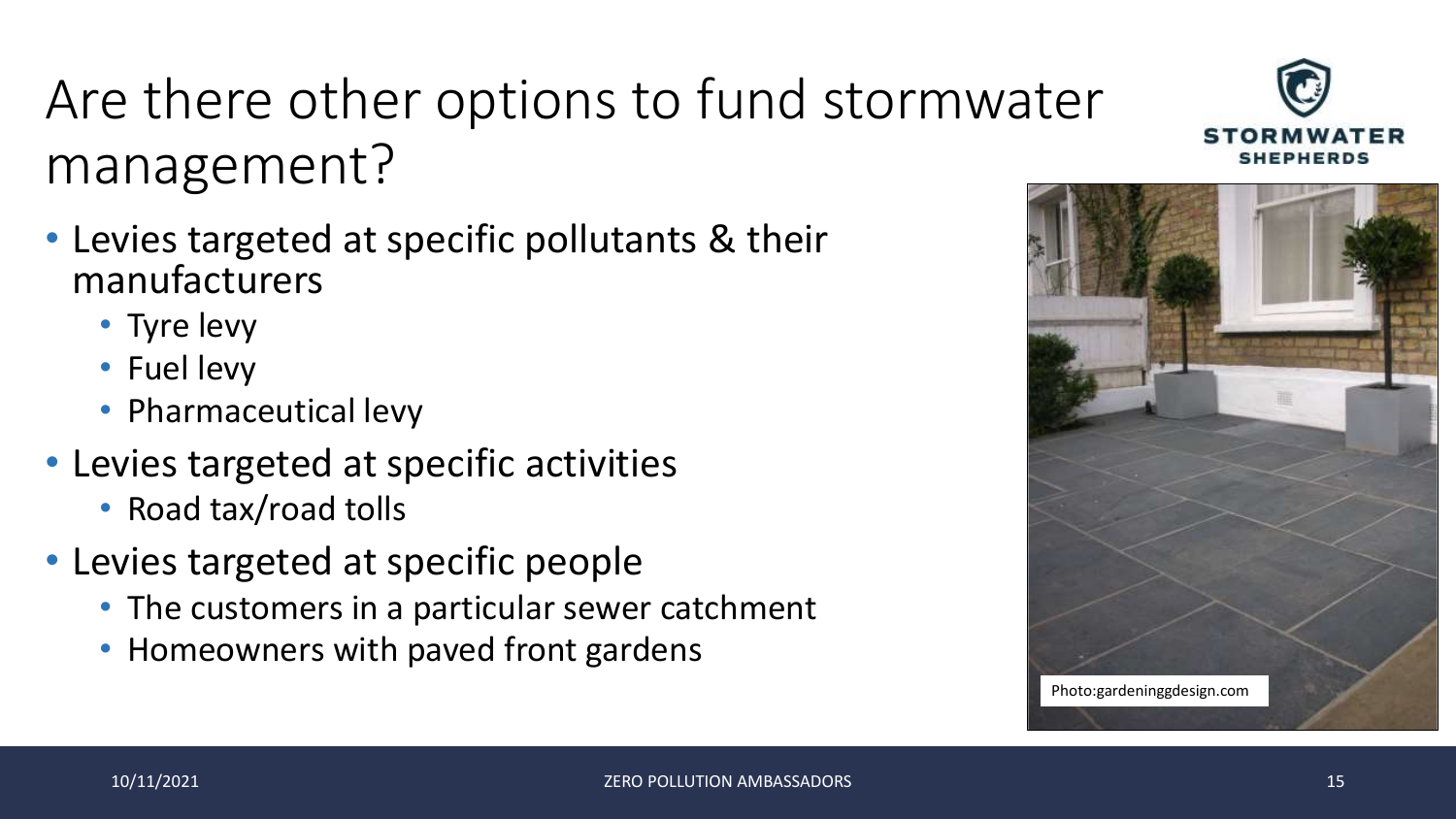#### Are there other options to fund stormwater management?

- Levies targeted at specific pollutants & their manufacturers
	- Tyre levy
	- Fuel levy
	- Pharmaceutical levy
- Levies targeted at specific activities
	- Road tax/road tolls
- Levies targeted at specific people
	- The customers in a particular sewer catchment
	- Homeowners with paved front gardens



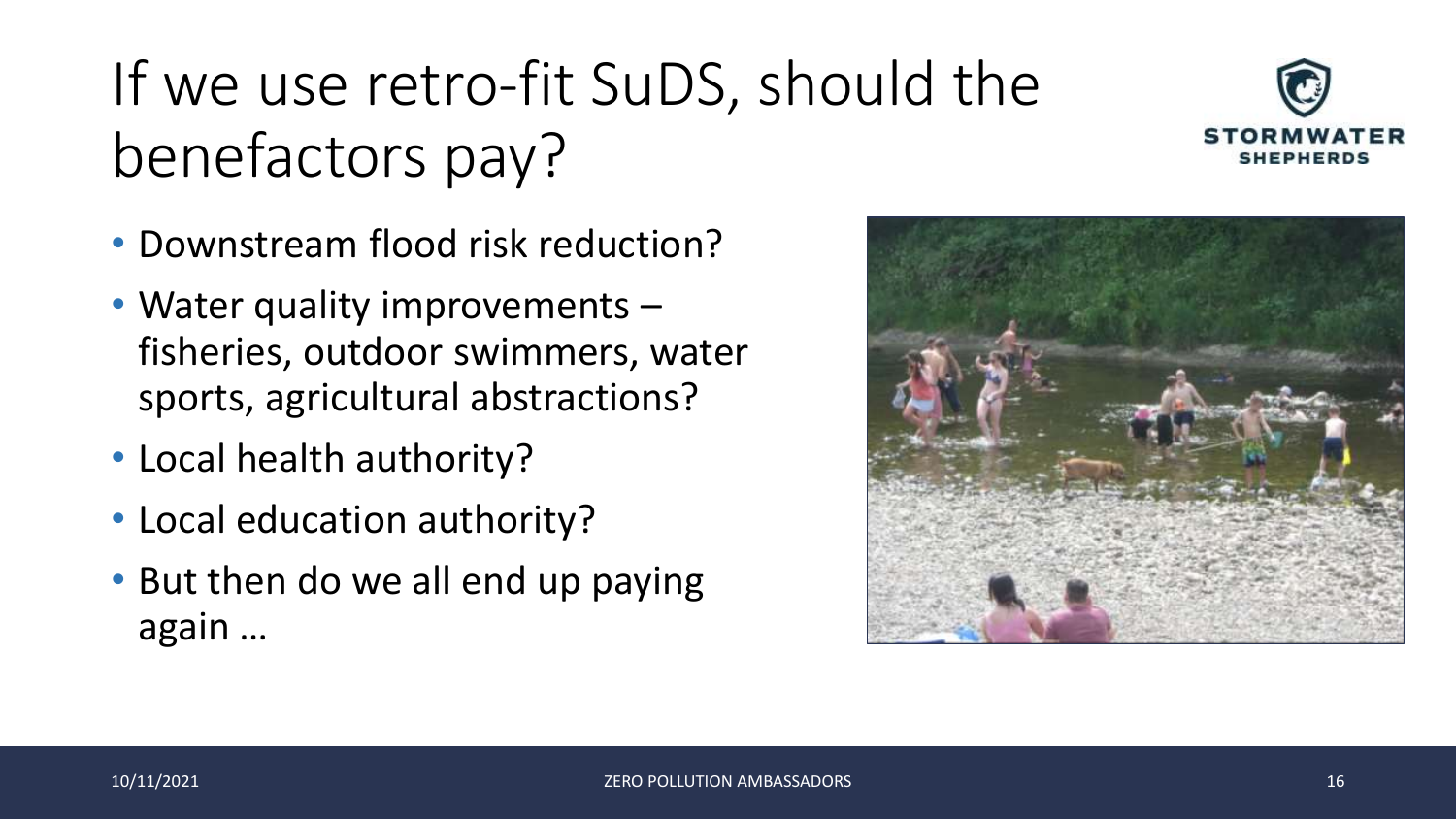# If we use retro-fit SuDS, should the benefactors pay?



- Downstream flood risk reduction?
- Water quality improvements fisheries, outdoor swimmers, water sports, agricultural abstractions?
- Local health authority?
- Local education authority?
- But then do we all end up paying again …

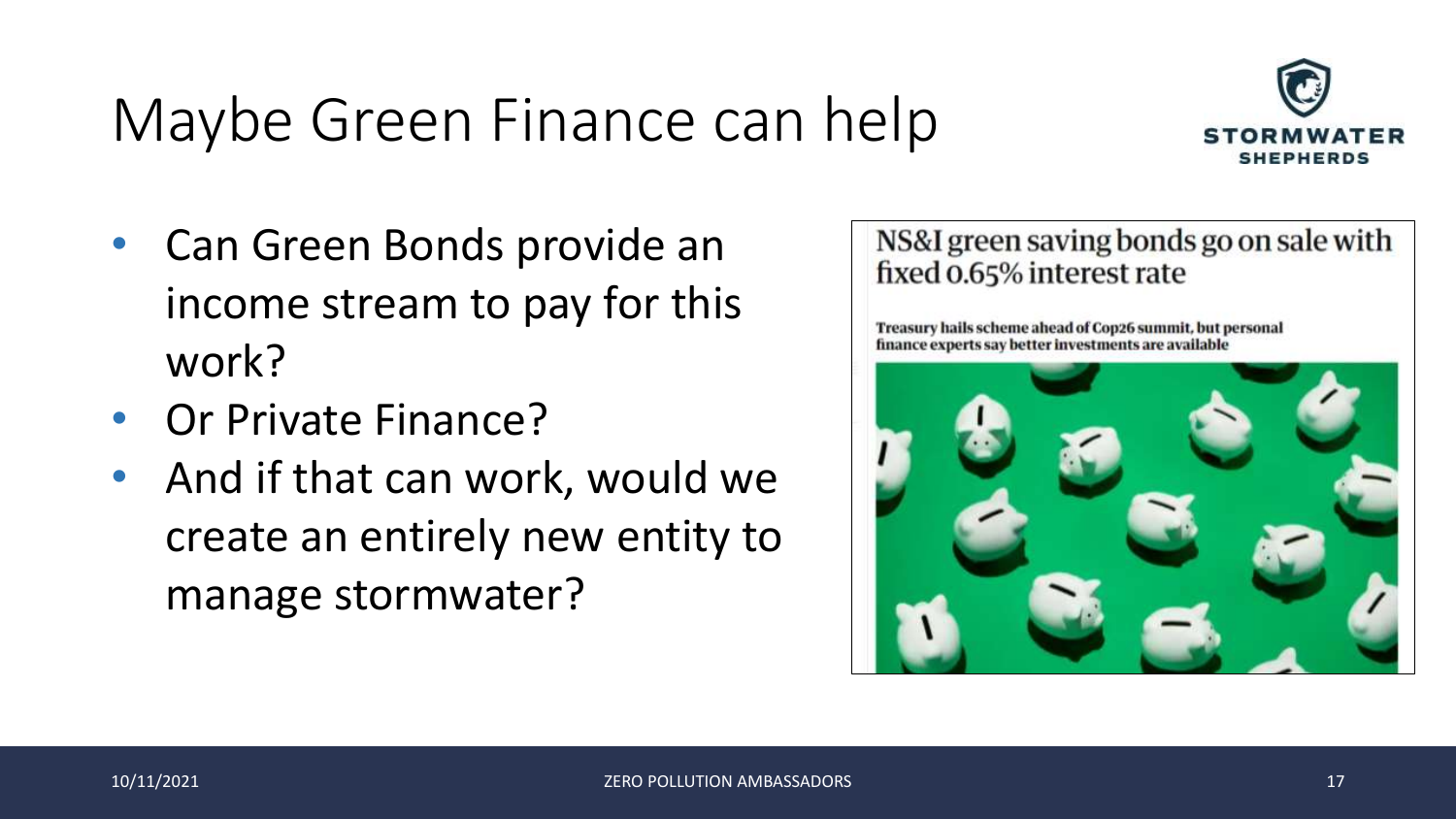### Maybe Green Finance can help



- Can Green Bonds provide an income stream to pay for this work?
- Or Private Finance?
- And if that can work, would we create an entirely new entity to manage stormwater?

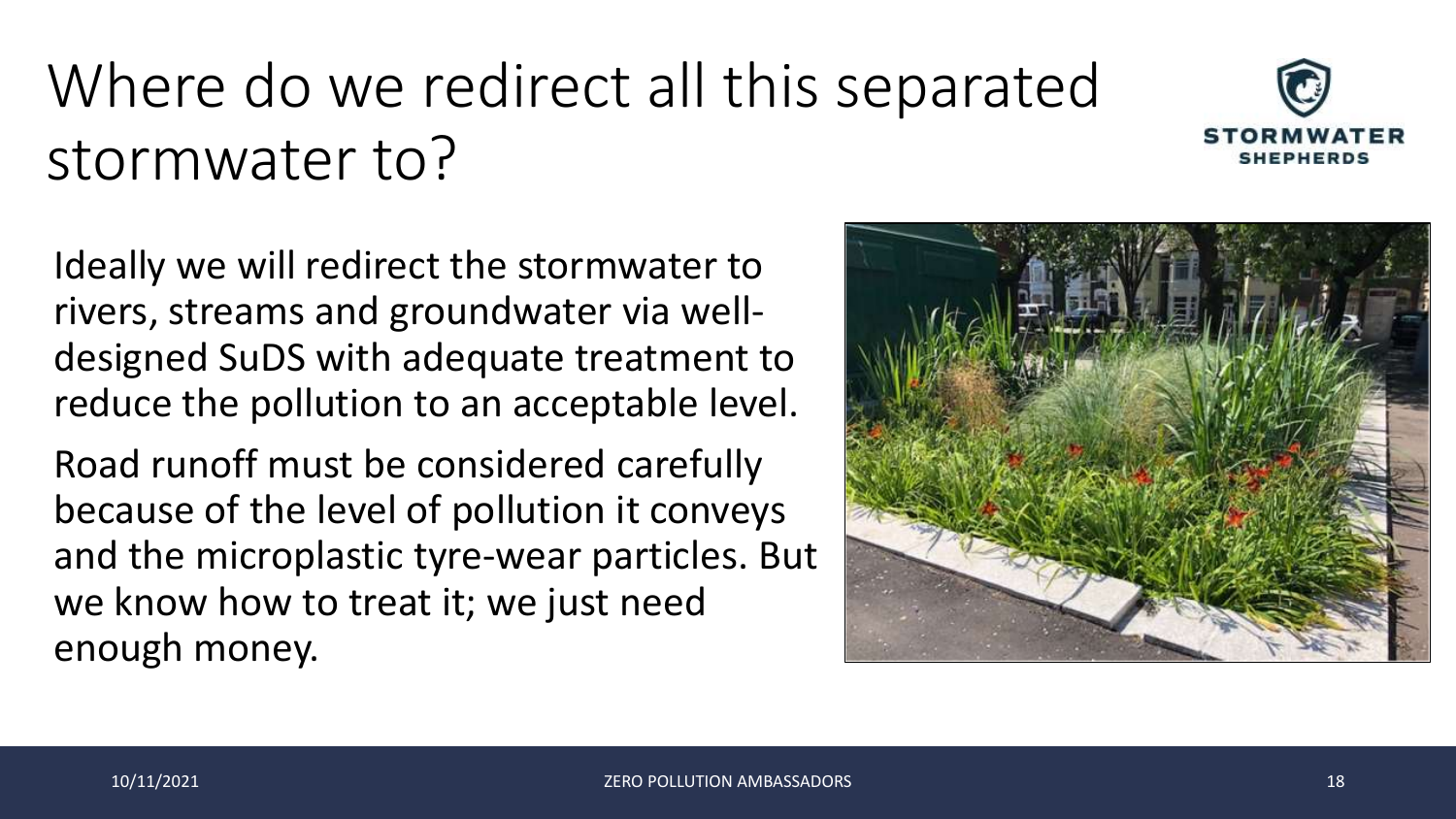# Where do we redirect all this separated stormwater to?



Ideally we will redirect the stormwater to rivers, streams and groundwater via welldesigned SuDS with adequate treatment to reduce the pollution to an acceptable level.

Road runoff must be considered carefully because of the level of pollution it conveys and the microplastic tyre-wear particles. But we know how to treat it; we just need enough money.

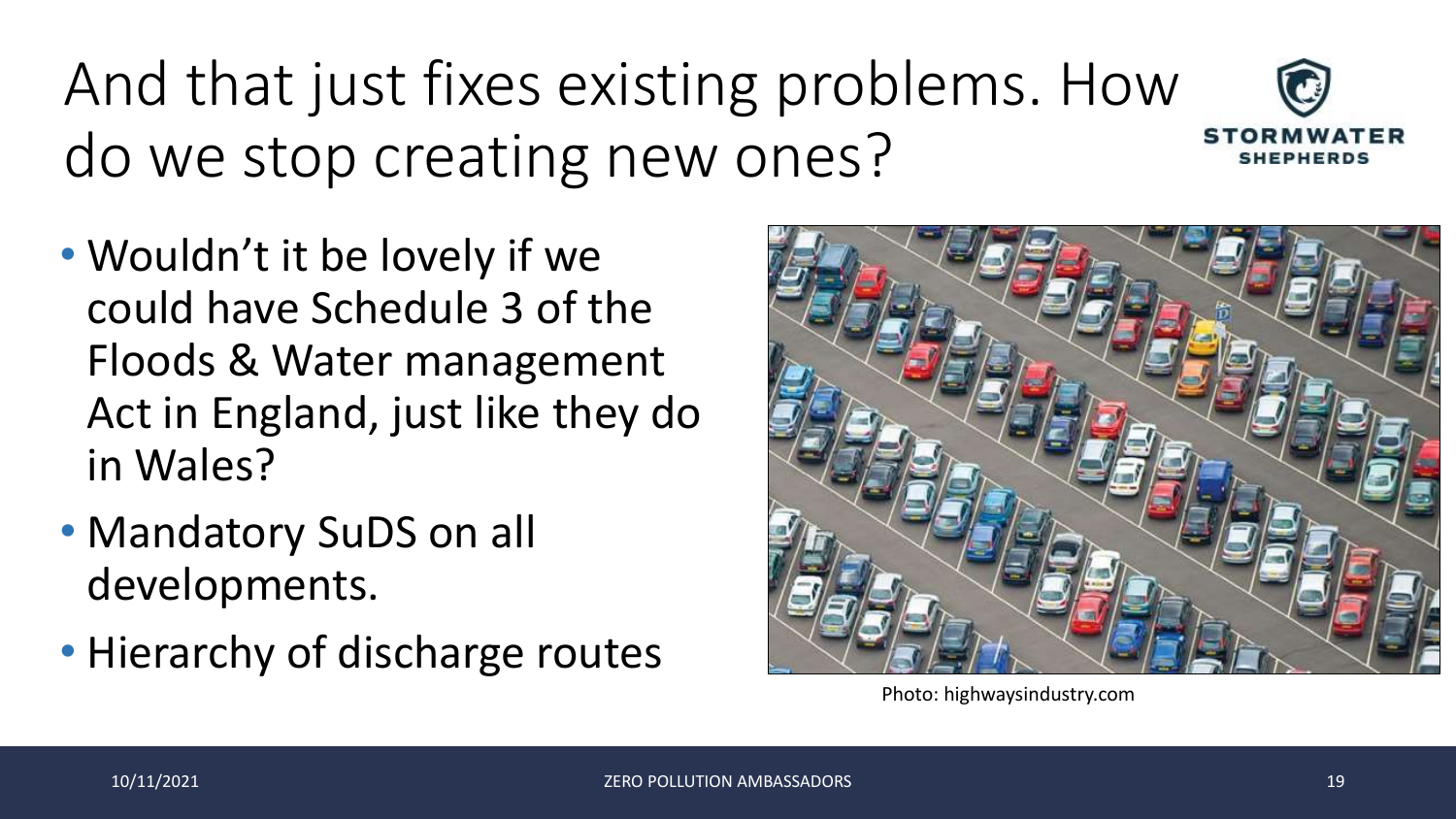# And that just fixes existing problems. How do we stop creating new ones?

- Wouldn't it be lovely if we could have Schedule 3 of the Floods & Water management Act in England, just like they do in Wales?
- Mandatory SuDS on all developments.
- Hierarchy of discharge routes



Photo: highwaysindustry.com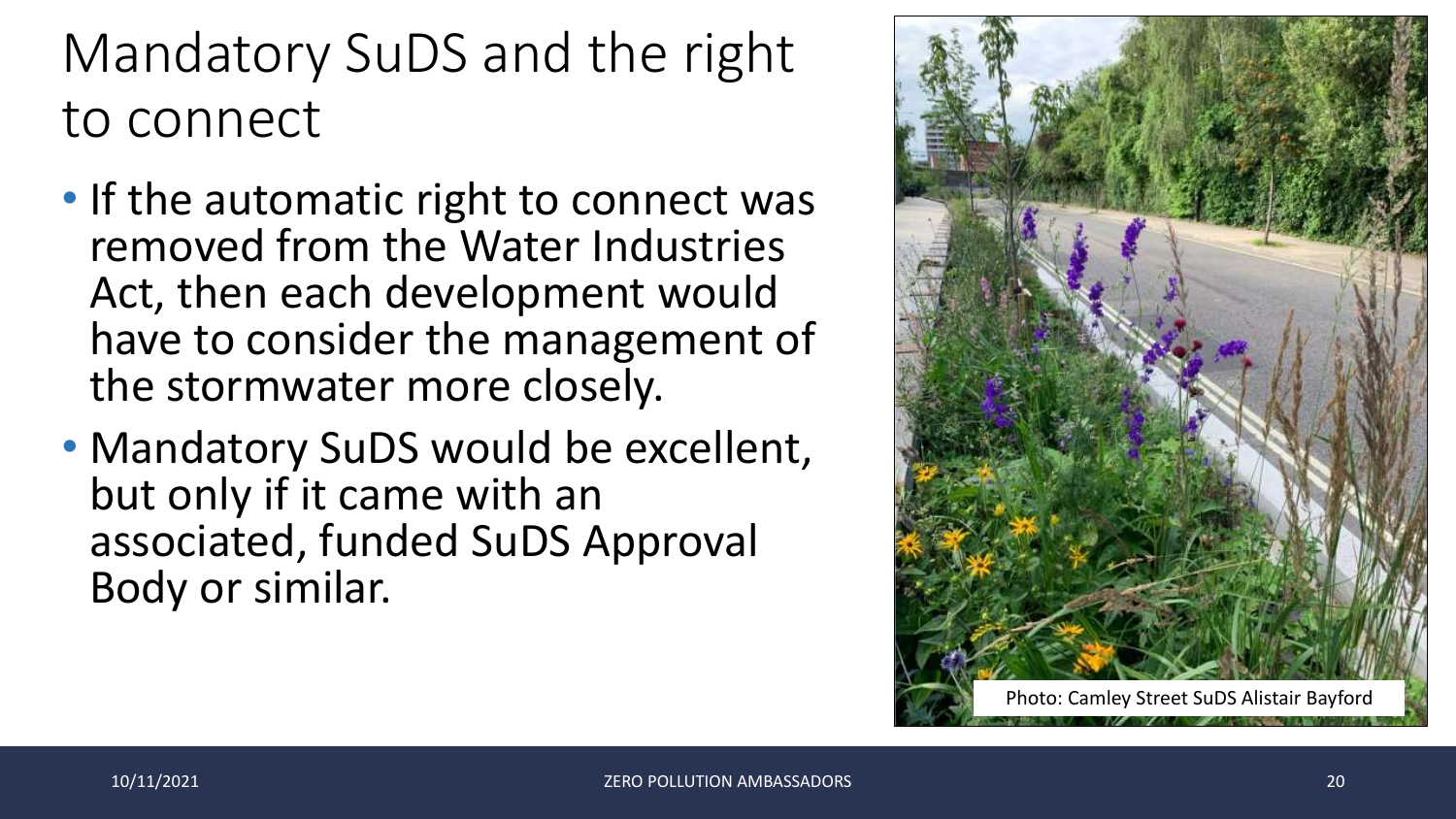#### Mandatory SuDS and the right to connect

- If the automatic right to connect was removed from the Water Industries Act, then each development would have to consider the management of the stormwater more closely.
- Mandatory SuDS would be excellent, but only if it came with an associated, funded SuDS Approval Body or similar.

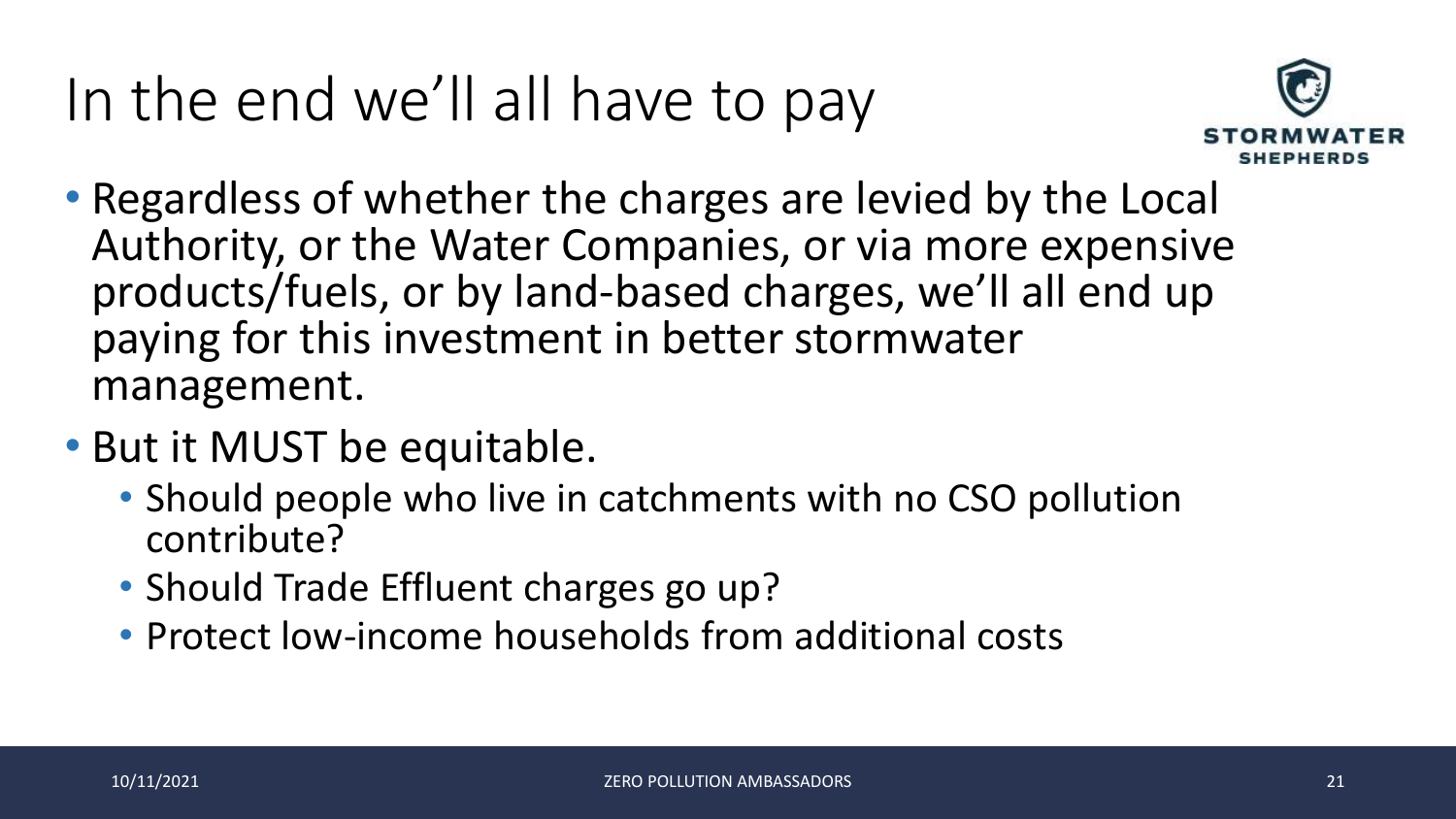# In the end we'll all have to pay



- Regardless of whether the charges are levied by the Local Authority, or the Water Companies, or via more expensive products/fuels, or by land-based charges, we'll all end up paying for this investment in better stormwater management.
- But it MUST be equitable.
	- Should people who live in catchments with no CSO pollution contribute?
	- Should Trade Effluent charges go up?
	- Protect low-income households from additional costs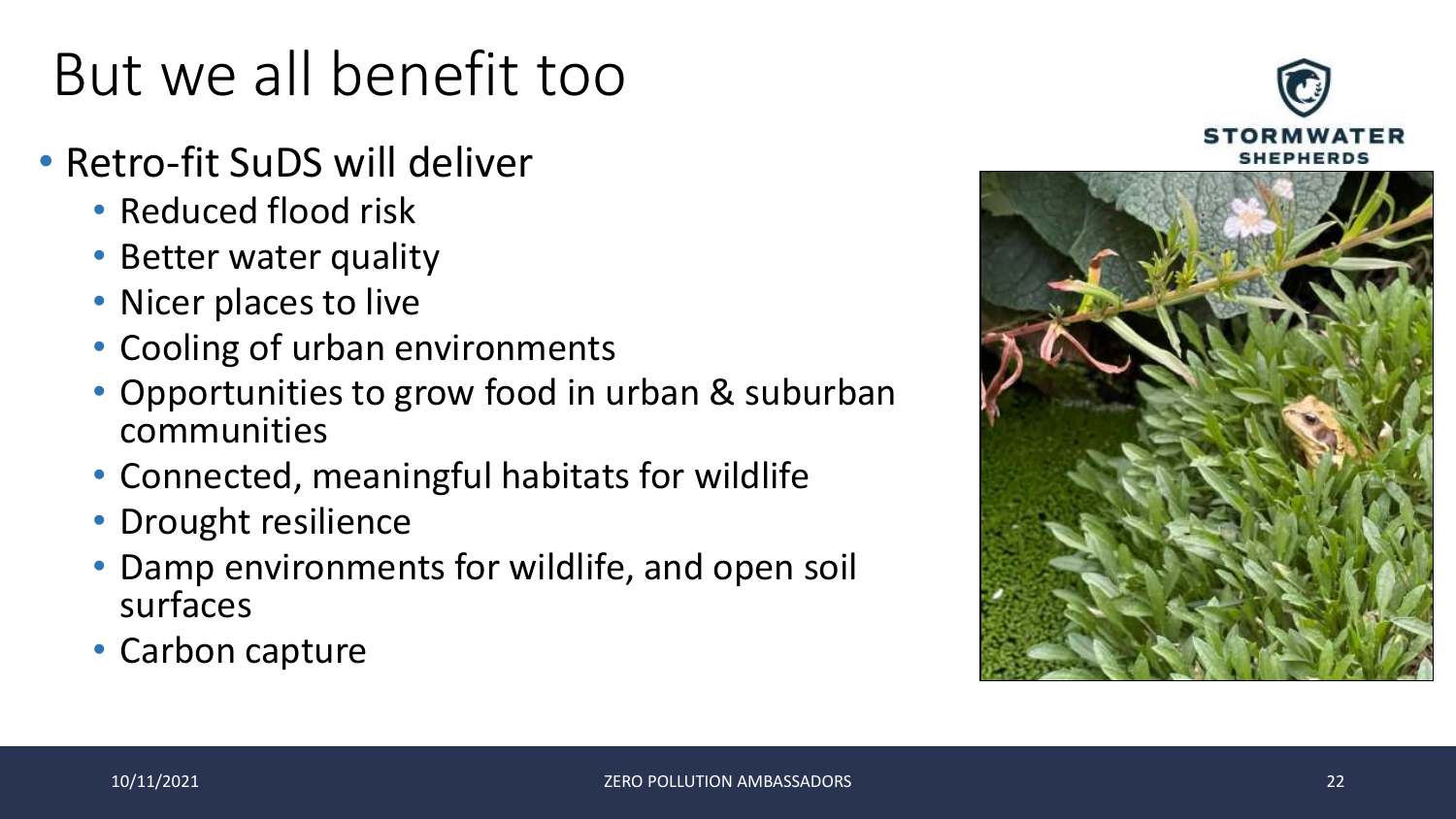# But we all benefit too

- Retro-fit SuDS will deliver
	- Reduced flood risk
	- Better water quality
	- Nicer places to live
	- Cooling of urban environments
	- Opportunities to grow food in urban & suburban communities
	- Connected, meaningful habitats for wildlife
	- Drought resilience
	- Damp environments for wildlife, and open soil surfaces
	- Carbon capture



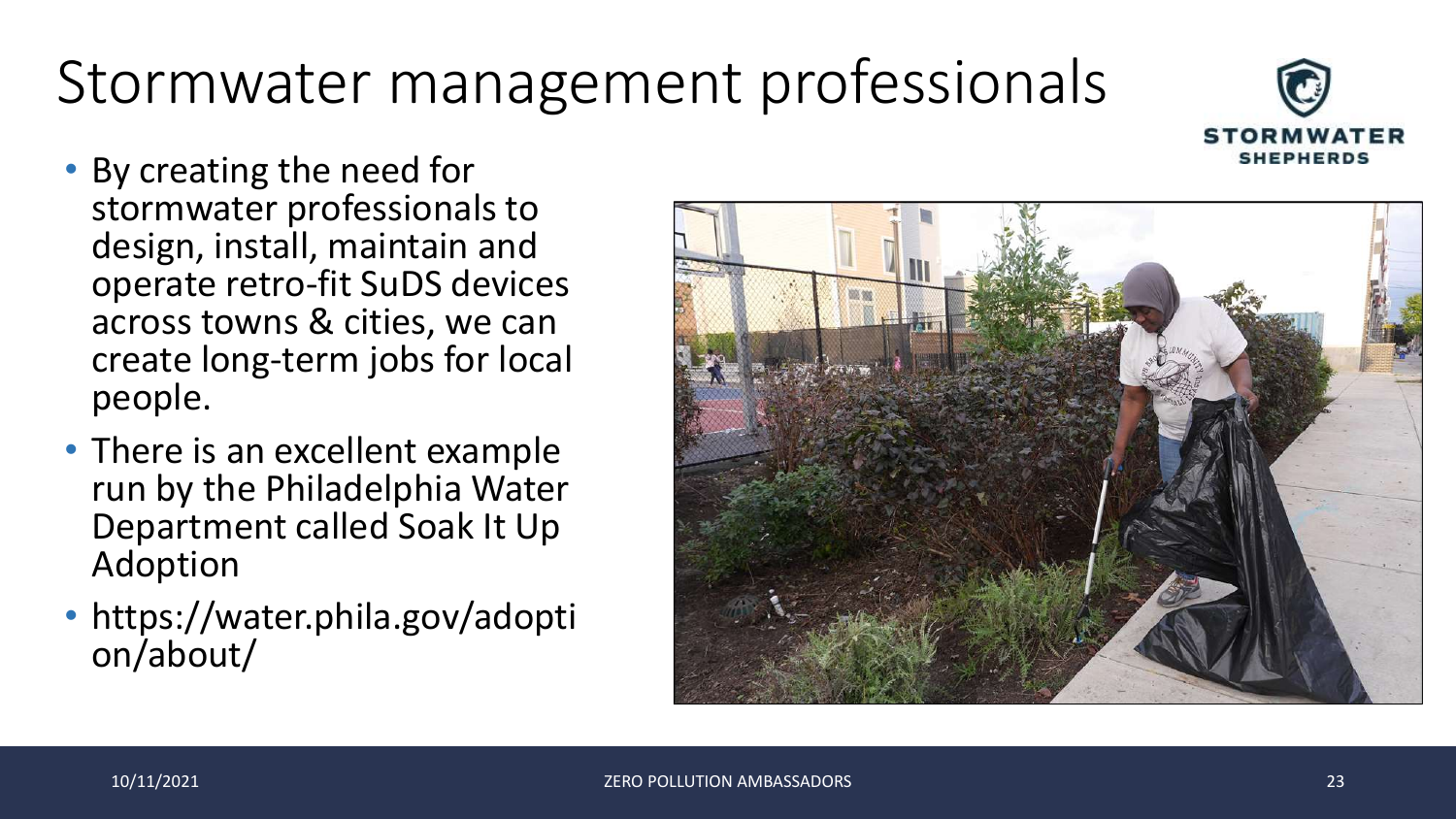# Stormwater management professionals



- By creating the need for stormwater professionals to design, install, maintain and operate retro-fit SuDS devices across towns & cities, we can create long-term jobs for local people.
- There is an excellent example run by the Philadelphia Water Department called Soak It Up Adoption
- https://water.phila.gov/adopti on/about/

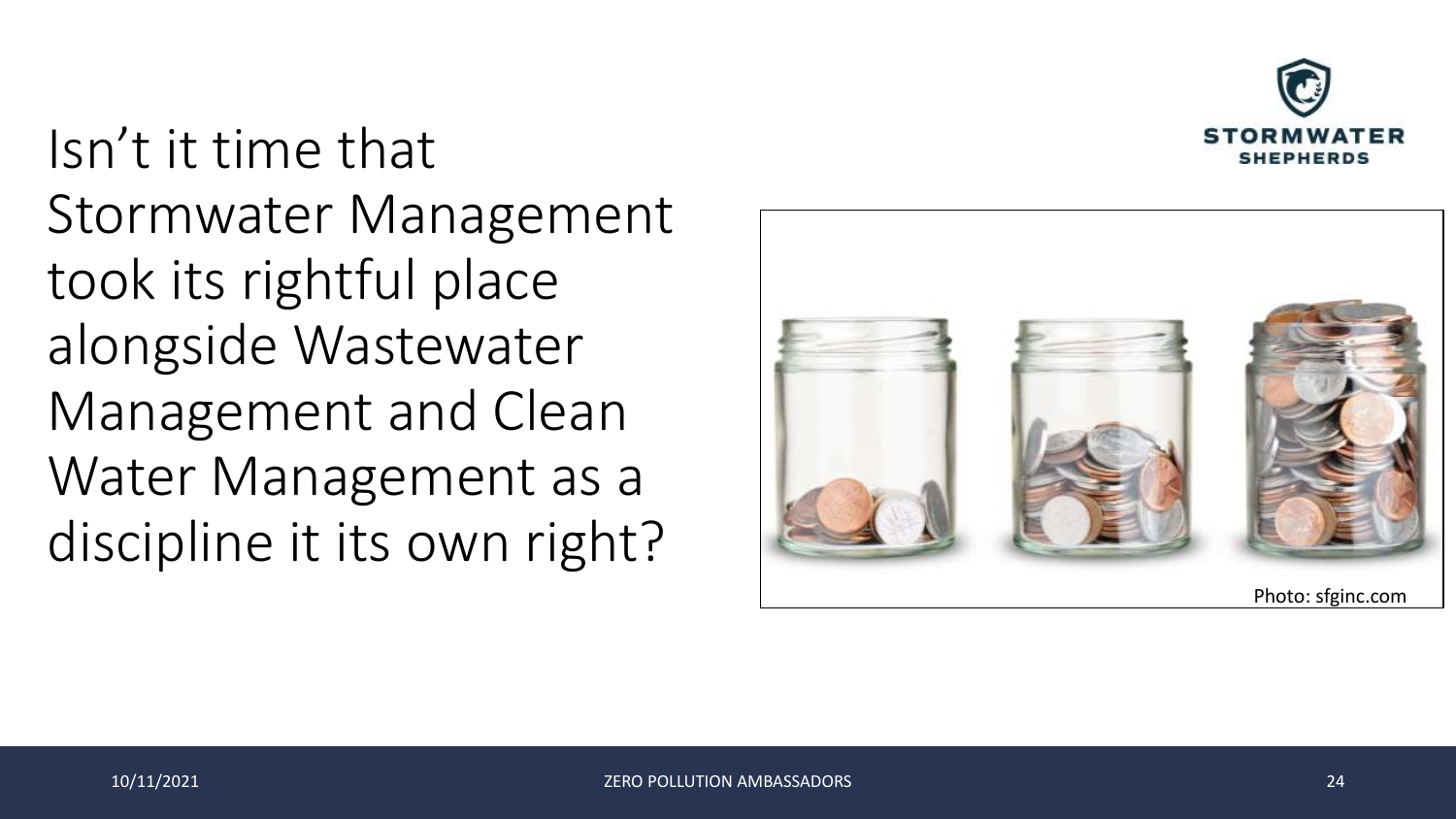

Isn't it time that Stormwater Management took its rightful place alongside Wastewater Management and Clean Water Management as a discipline it its own right?

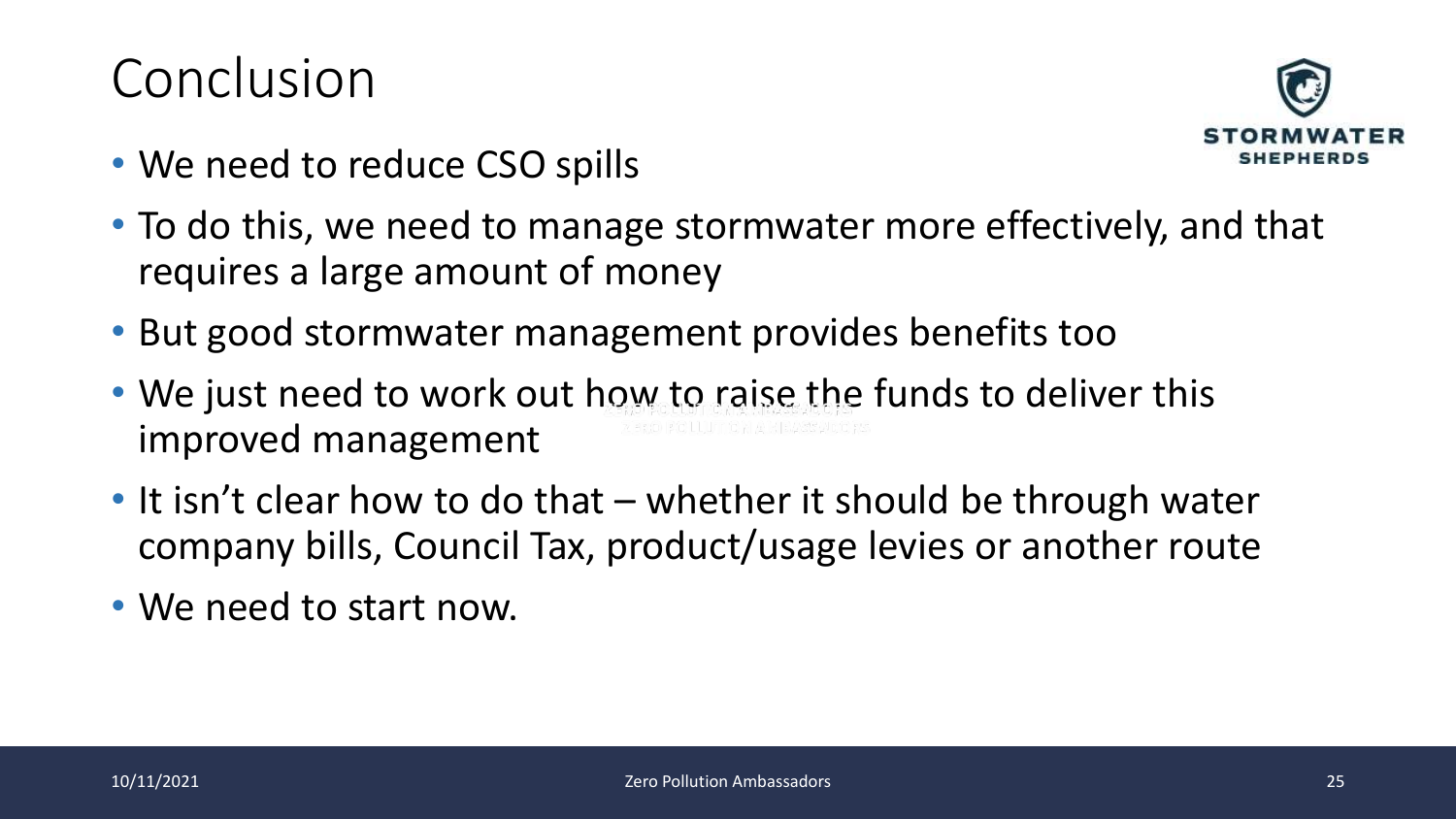#### Conclusion



- We need to reduce CSO spills
- To do this, we need to manage stormwater more effectively, and that requires a large amount of money
- But good stormwater management provides benefits too
- We just need to work out how to raise the funds to deliver this improved management
- It isn't clear how to do that whether it should be through water company bills, Council Tax, product/usage levies or another route
- We need to start now.